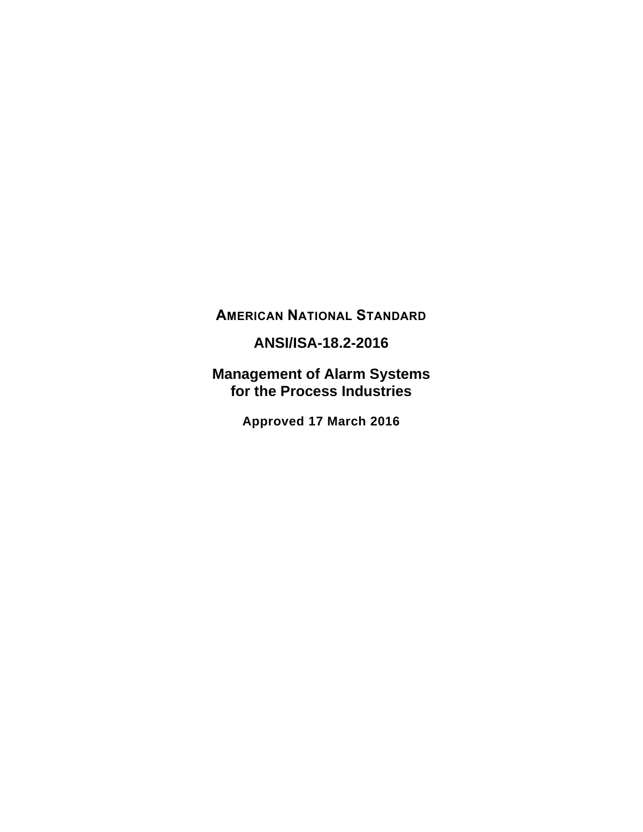### **AMERICAN NATIONAL STANDARD**

## **ANSI/ISA-18.2-2016**

### **Management of Alarm Systems for the Process Industries**

**Approved 17 March 2016**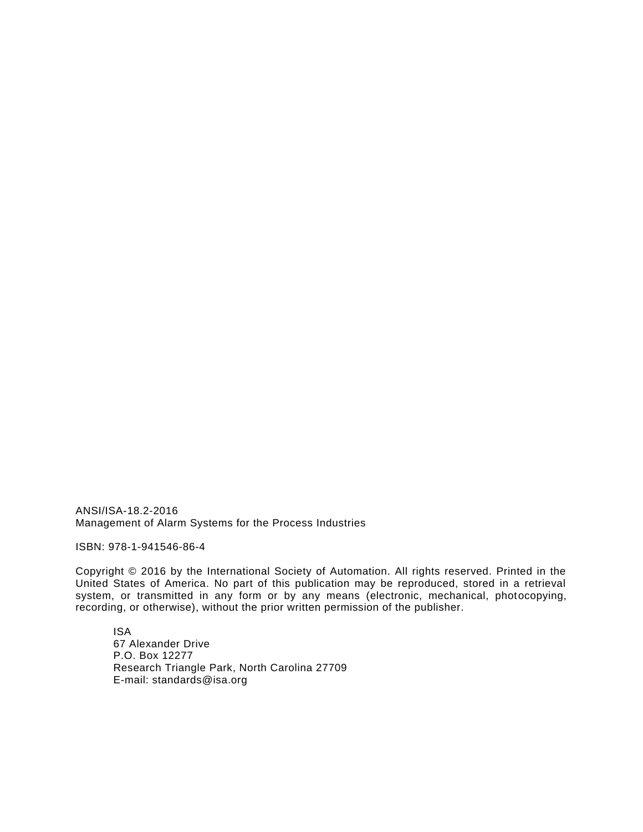ANSI/ISA-18.2-2016 Management of Alarm Systems for the Process Industries

ISBN: 978-1-941546-86-4

Copyright © 2016 by the International Society of Automation. All rights reserved. Printed in the United States of America. No part of this publication may be reproduced, stored in a retrieval system, or transmitted in any form or by any means (electronic, mechanical, photocopying, recording, or otherwise), without the prior written permission of the publisher.

ISA 67 Alexander Drive P.O. Box 12277 Research Triangle Park, North Carolina 27709 E-mail: standards@isa.org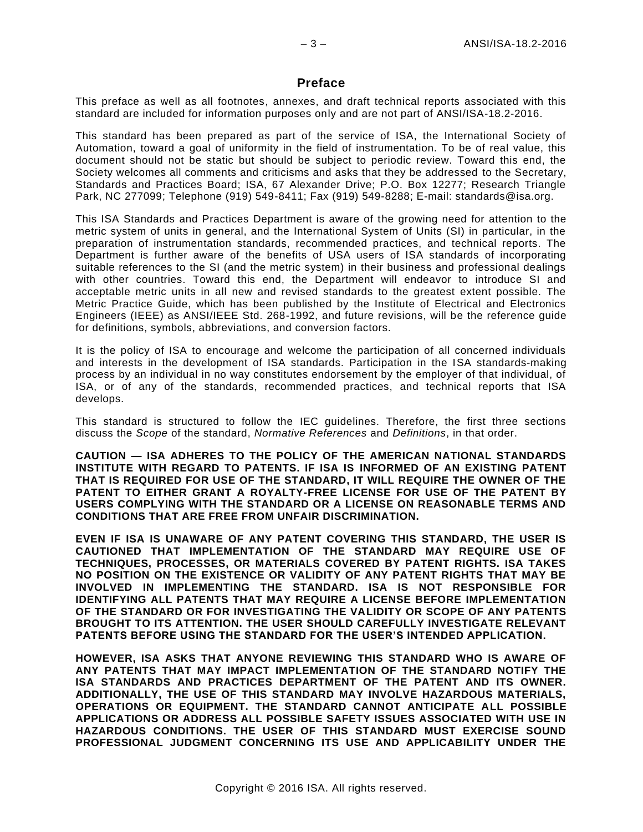#### **Preface**

This preface as well as all footnotes, annexes, and draft technical reports associated with this standard are included for information purposes only and are not part of ANSI/ISA-18.2-2016.

This standard has been prepared as part of the service of ISA, the International Society of Automation, toward a goal of uniformity in the field of instrumentation. To be of real value, this document should not be static but should be subject to periodic review. Toward this end, the Society welcomes all comments and criticisms and asks that they be addressed to the Secretary, Standards and Practices Board; ISA, 67 Alexander Drive; P.O. Box 12277; Research Triangle Park, NC 277099; Telephone (919) 549-8411; Fax (919) 549-8288; E-mail: standards@isa.org.

This ISA Standards and Practices Department is aware of the growing need for attention to the metric system of units in general, and the International System of Units (SI) in particular, in the preparation of instrumentation standards, recommended practices, and technical reports. The Department is further aware of the benefits of USA users of ISA standards of incorporating suitable references to the SI (and the metric system) in their business and professional dealings with other countries. Toward this end, the Department will endeavor to introduce SI and acceptable metric units in all new and revised standards to the greatest extent possible. The Metric Practice Guide, which has been published by the Institute of Electrical and Electronics Engineers (IEEE) as ANSI/IEEE Std. 268-1992, and future revisions, will be the reference guide for definitions, symbols, abbreviations, and conversion factors.

It is the policy of ISA to encourage and welcome the participation of all concerned individuals and interests in the development of ISA standards. Participation in the ISA standards-making process by an individual in no way constitutes endorsement by the employer of that individual, of ISA, or of any of the standards, recommended practices, and technical reports that ISA develops.

This standard is structured to follow the IEC guidelines. Therefore, the first three sections discuss the *Scope* of the standard, *Normative References* and *Definitions*, in that order.

**CAUTION — ISA ADHERES TO THE POLICY OF THE AMERICAN NATIONAL STANDARDS INSTITUTE WITH REGARD TO PATENTS. IF ISA IS INFORMED OF AN EXISTING PATENT THAT IS REQUIRED FOR USE OF THE STANDARD, IT WILL REQUIRE THE OWNER OF THE PATENT TO EITHER GRANT A ROYALTY-FREE LICENSE FOR USE OF THE PATENT BY USERS COMPLYING WITH THE STANDARD OR A LICENSE ON REASONABLE TERMS AND CONDITIONS THAT ARE FREE FROM UNFAIR DISCRIMINATION.**

**EVEN IF ISA IS UNAWARE OF ANY PATENT COVERING THIS STANDARD, THE USER IS CAUTIONED THAT IMPLEMENTATION OF THE STANDARD MAY REQUIRE USE OF TECHNIQUES, PROCESSES, OR MATERIALS COVERED BY PATENT RIGHTS. ISA TAKES NO POSITION ON THE EXISTENCE OR VALIDITY OF ANY PATENT RIGHTS THAT MAY BE INVOLVED IN IMPLEMENTING THE STANDARD. ISA IS NOT RESPONSIBLE FOR IDENTIFYING ALL PATENTS THAT MAY REQUIRE A LICENSE BEFORE IMPLEMENTATION OF THE STANDARD OR FOR INVESTIGATING THE VALIDITY OR SCOPE OF ANY PATENTS BROUGHT TO ITS ATTENTION. THE USER SHOULD CAREFULLY INVESTIGATE RELEVANT PATENTS BEFORE USING THE STANDARD FOR THE USER'S INTENDED APPLICATION.**

**HOWEVER, ISA ASKS THAT ANYONE REVIEWING THIS STANDARD WHO IS AWARE OF ANY PATENTS THAT MAY IMPACT IMPLEMENTATION OF THE STANDARD NOTIFY THE ISA STANDARDS AND PRACTICES DEPARTMENT OF THE PATENT AND ITS OWNER. ADDITIONALLY, THE USE OF THIS STANDARD MAY INVOLVE HAZARDOUS MATERIALS, OPERATIONS OR EQUIPMENT. THE STANDARD CANNOT ANTICIPATE ALL POSSIBLE APPLICATIONS OR ADDRESS ALL POSSIBLE SAFETY ISSUES ASSOCIATED WITH USE IN HAZARDOUS CONDITIONS. THE USER OF THIS STANDARD MUST EXERCISE SOUND PROFESSIONAL JUDGMENT CONCERNING ITS USE AND APPLICABILITY UNDER THE**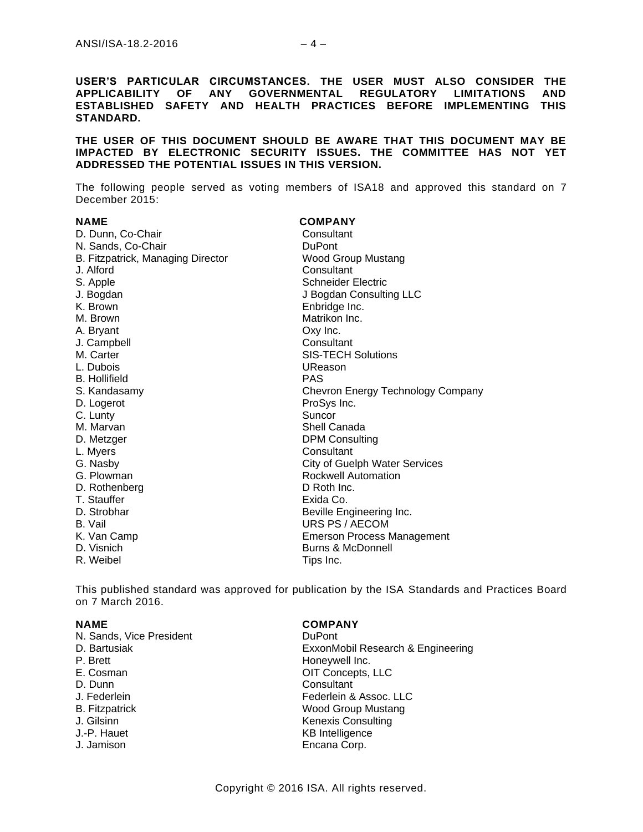**USER'S PARTICULAR CIRCUMSTANCES. THE USER MUST ALSO CONSIDER THE APPLICABILITY OF ANY GOVERNMENTAL REGULATORY LIMITATIONS AND ESTABLISHED SAFETY AND HEALTH PRACTICES BEFORE IMPLEMENTING THIS STANDARD.**

**THE USER OF THIS DOCUMENT SHOULD BE AWARE THAT THIS DOCUMENT MAY BE IMPACTED BY ELECTRONIC SECURITY ISSUES. THE COMMITTEE HAS NOT YET ADDRESSED THE POTENTIAL ISSUES IN THIS VERSION.**

The following people served as voting members of ISA18 and approved this standard on 7 December 2015:

#### **NAME COMPANY** D. Dunn, Co-Chair Consultant N. Sands, Co-Chair DuPont B. Fitzpatrick, Managing Director Wood Group Mustang J. Alford Consultant S. Apple S. Apple Schneider Electric J. Bogdan J Bogdan Consulting LLC K. Brown **Enbridge Inc.** M. Brown Matrikon Inc. A. Bryant Carrier Contract Contract Contract Contract Contract Contract Contract Contract Contract Contract Contract Contract Contract Contract Contract Contract Contract Contract Contract Contract Contract Contract Contra J. Campbell Consultant M. Carter **M. Carter** SIS-TECH Solutions L. Dubois UReason B. Hollifield PAS S. Kandasamy Chevron Energy Technology Company D. Logerot **ProSys Inc.** C. Lunty Suncor M. Marvan **Shell Canada** D. Metzger D. Metzger D. Metzger D. Metzger D. Metzger D. Metzger D. Metzger D. Metzger D. Metzger D. Metzger L. Myers **Consultant** G. Nasby City of Guelph Water Services G. Plowman **Contract Contract Contract Contract Contract Contract Contract Contract Contract Contract Contract Contract Contract Contract Contract Contract Contract Contract Contract Contract Contract Contract Contract Con** D. Rothenberg D Roth Inc. T. Stauffer **Exida Co.** D. Strobhar Beville Engineering Inc. B. Vail URS PS / AECOM K. Van Camp **Emerson Process Management** D. Visnich Burns & McDonnell R. Weibel **R.** Weibel **Tips Inc.**

This published standard was approved for publication by the ISA Standards and Practices Board on 7 March 2016.

### **NAME COMPANY**

| $\cdots$                 | 9988 AB                           |
|--------------------------|-----------------------------------|
| N. Sands, Vice President | <b>DuPont</b>                     |
| D. Bartusiak             | ExxonMobil Research & Engineering |
| P. Brett                 | Honeywell Inc.                    |
| E. Cosman                | OIT Concepts, LLC                 |
| D. Dunn                  | Consultant                        |
| J. Federlein             | Federlein & Assoc. LLC            |
| <b>B.</b> Fitzpatrick    | <b>Wood Group Mustang</b>         |
| J. Gilsinn               | <b>Kenexis Consulting</b>         |
| J.-P. Hauet              | <b>KB</b> Intelligence            |
| J. Jamison               | Encana Corp.                      |
|                          |                                   |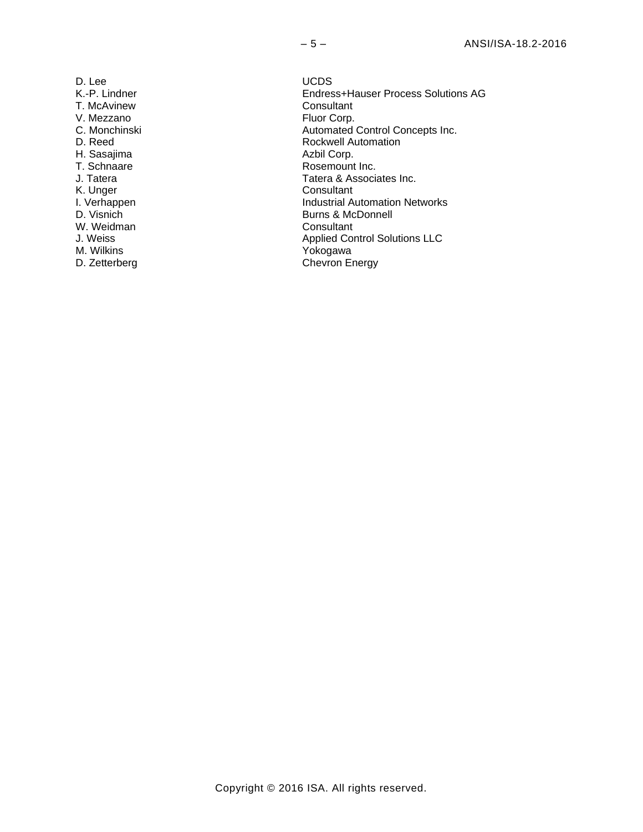D. Lee UCDS T. McAvinew<br>V. Mezzano H. Sasajima<br>T. Schnaare W. Weidman M. Wilkins Walkins (M. Wilkins M. 2008)<br>D. Zetterberg (M. 2009)<br>Chevron Er

Endress+Hauser Process Solutions AG<br>Consultant Fluor Corp. C. Monchinski **Automated Control Concepts Inc.** D. Reed D. Rockwell Automation<br>
H. Sasajima 
H. Sasajima 
H. Sasajima 
Rockwell Automation Rosemount Inc. J. Tatera  $\blacksquare$ <br>  $\blacksquare$  Tatera & Associates Inc.<br>
K. Unger  $\blacksquare$ Consultant I. Verhappen I. Verhappen I. Verhappen I. Verhappen I. Visnich I. Visnich I. Visnich I. Visnich I. Visnich I. V<br>Burns & McDonnell Burns & McDonnell<br>Consultant J. Weiss<br>
M. Wilkins<br>
M. Wilkins<br>
M. Wilkins<br>
M. Wilkins Chevron Energy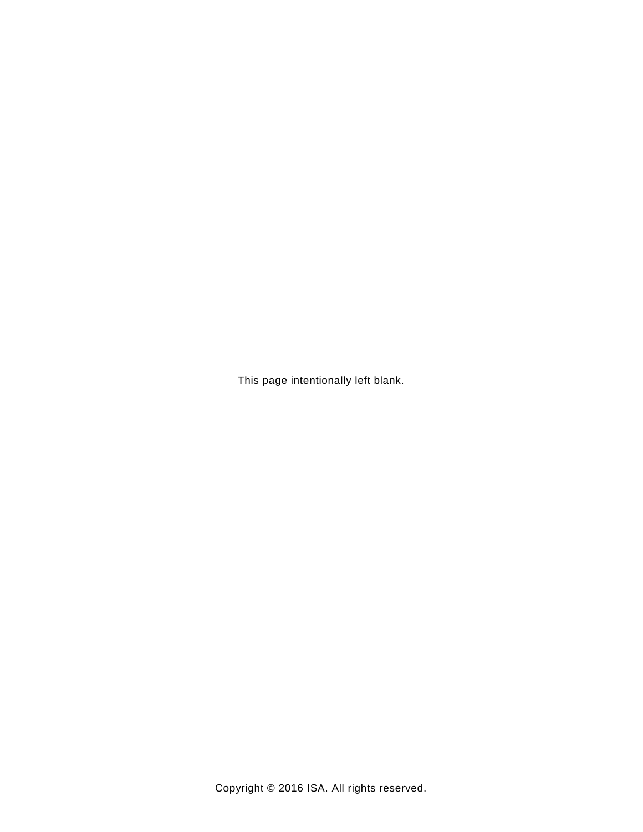This page intentionally left blank.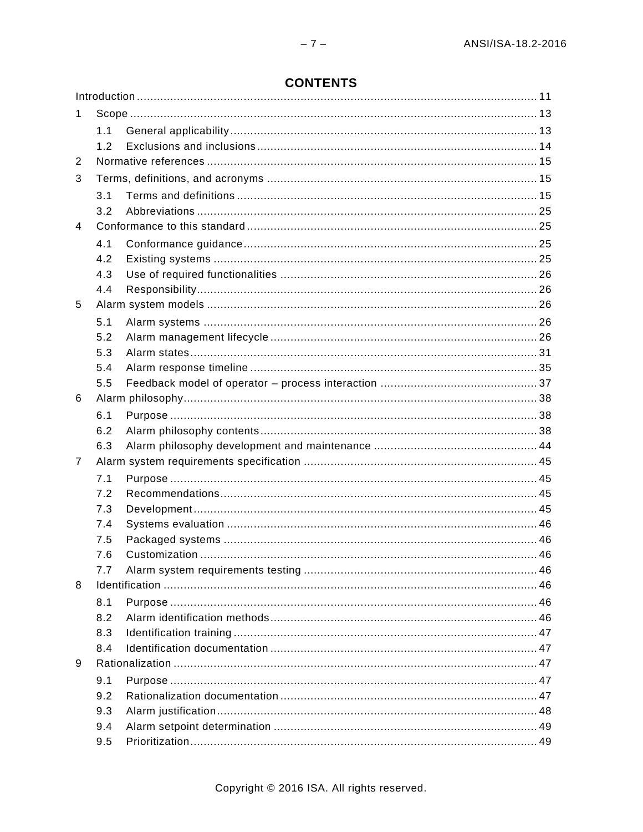### **CONTENTS**

| 1 |     |  |
|---|-----|--|
|   | 1.1 |  |
|   | 1.2 |  |
| 2 |     |  |
| 3 |     |  |
|   | 3.1 |  |
|   | 3.2 |  |
| 4 |     |  |
|   | 4.1 |  |
|   | 4.2 |  |
|   | 4.3 |  |
|   | 4.4 |  |
| 5 |     |  |
|   | 5.1 |  |
|   | 5.2 |  |
|   | 5.3 |  |
|   | 5.4 |  |
|   | 5.5 |  |
| 6 |     |  |
|   | 6.1 |  |
|   | 6.2 |  |
|   | 6.3 |  |
| 7 |     |  |
|   | 7.1 |  |
|   | 7.2 |  |
|   | 7.3 |  |
|   | 7.4 |  |
|   | 7.5 |  |
|   | 7.6 |  |
|   | 7.7 |  |
| 8 |     |  |
|   | 8.1 |  |
|   | 8.2 |  |
|   | 8.3 |  |
|   | 8.4 |  |
| 9 |     |  |
|   | 9.1 |  |
|   | 9.2 |  |
|   | 9.3 |  |
|   | 9.4 |  |
|   | 9.5 |  |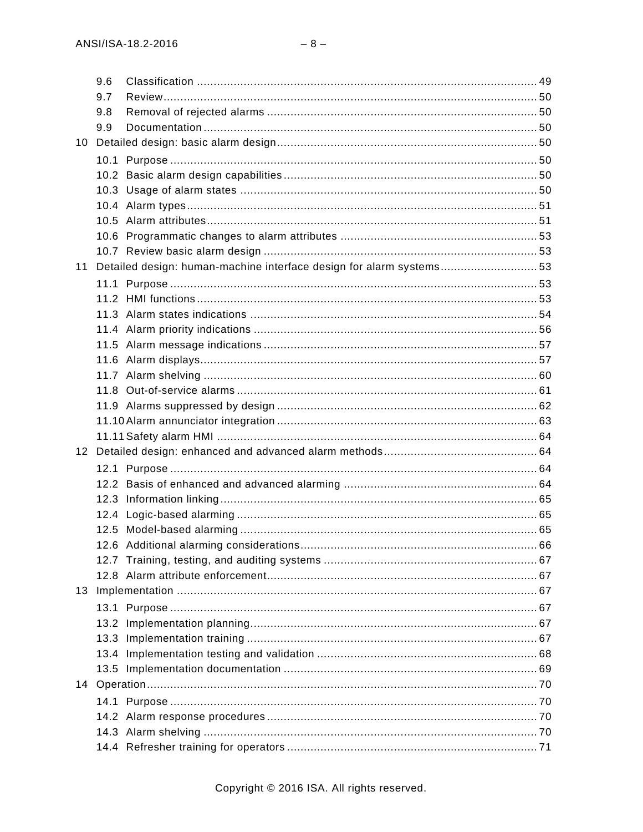|    | 9.6  |                                                                     |  |
|----|------|---------------------------------------------------------------------|--|
|    | 9.7  |                                                                     |  |
|    | 9.8  |                                                                     |  |
|    | 9.9  |                                                                     |  |
| 10 |      |                                                                     |  |
|    |      |                                                                     |  |
|    |      |                                                                     |  |
|    |      |                                                                     |  |
|    |      |                                                                     |  |
|    |      |                                                                     |  |
|    |      |                                                                     |  |
|    |      |                                                                     |  |
| 11 |      | Detailed design: human-machine interface design for alarm systems53 |  |
|    |      |                                                                     |  |
|    |      |                                                                     |  |
|    |      |                                                                     |  |
|    |      |                                                                     |  |
|    |      |                                                                     |  |
|    |      |                                                                     |  |
|    |      |                                                                     |  |
|    |      |                                                                     |  |
|    |      |                                                                     |  |
|    |      |                                                                     |  |
|    |      |                                                                     |  |
|    |      |                                                                     |  |
| 12 |      |                                                                     |  |
|    |      |                                                                     |  |
|    |      |                                                                     |  |
|    |      |                                                                     |  |
|    |      |                                                                     |  |
|    |      |                                                                     |  |
|    |      |                                                                     |  |
|    |      |                                                                     |  |
|    |      |                                                                     |  |
| 13 |      |                                                                     |  |
|    |      |                                                                     |  |
|    | 13.2 |                                                                     |  |
|    | 13.3 |                                                                     |  |
|    | 13.4 |                                                                     |  |
|    |      |                                                                     |  |
|    |      |                                                                     |  |
|    |      |                                                                     |  |
|    |      |                                                                     |  |
|    |      |                                                                     |  |
|    |      |                                                                     |  |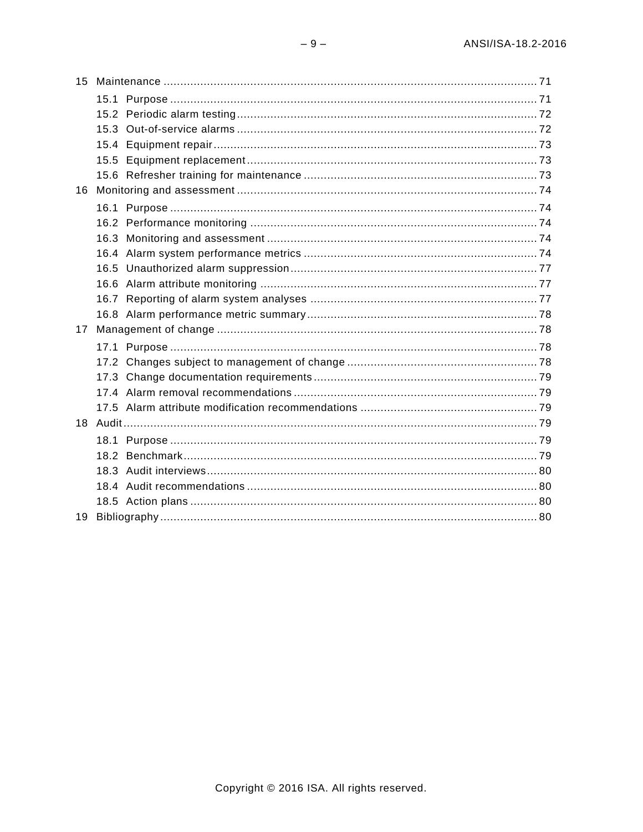| 15 |      |  |
|----|------|--|
|    | 15.1 |  |
|    |      |  |
|    |      |  |
|    |      |  |
|    |      |  |
|    |      |  |
| 16 |      |  |
|    |      |  |
|    |      |  |
|    |      |  |
|    |      |  |
|    |      |  |
|    |      |  |
|    |      |  |
|    |      |  |
| 17 |      |  |
|    |      |  |
|    |      |  |
|    |      |  |
|    |      |  |
|    |      |  |
|    |      |  |
|    |      |  |
|    |      |  |
|    |      |  |
|    |      |  |
|    |      |  |
| 19 |      |  |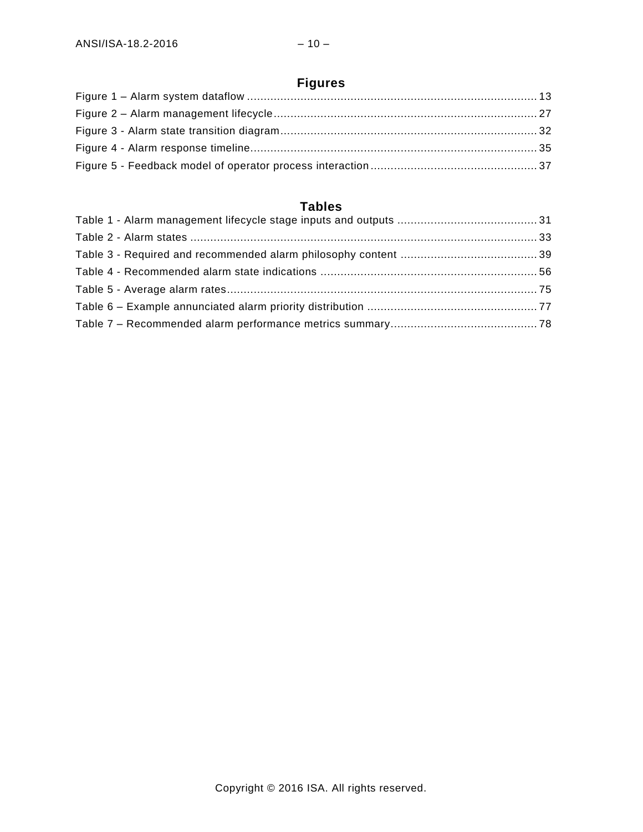# **Figures**

### **Tables**